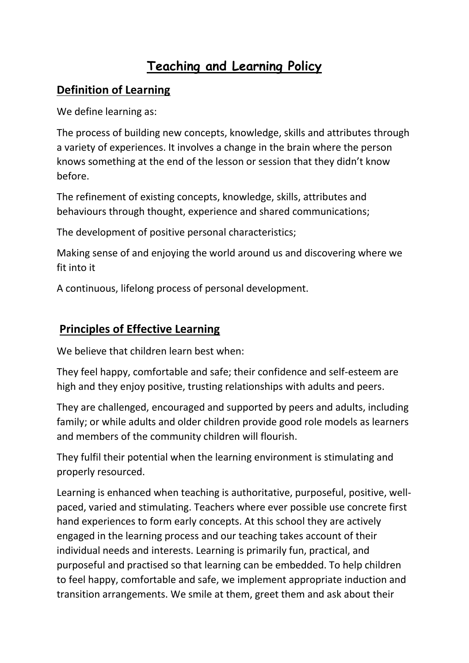## **Teaching and Learning Policy**

## **Definition of Learning**

We define learning as:

The process of building new concepts, knowledge, skills and attributes through a variety of experiences. It involves a change in the brain where the person knows something at the end of the lesson or session that they didn't know before.

The refinement of existing concepts, knowledge, skills, attributes and behaviours through thought, experience and shared communications;

The development of positive personal characteristics;

Making sense of and enjoying the world around us and discovering where we fit into it

A continuous, lifelong process of personal development.

## **Principles of Effective Learning**

We believe that children learn best when:

They feel happy, comfortable and safe; their confidence and self-esteem are high and they enjoy positive, trusting relationships with adults and peers.

They are challenged, encouraged and supported by peers and adults, including family; or while adults and older children provide good role models as learners and members of the community children will flourish.

They fulfil their potential when the learning environment is stimulating and properly resourced.

Learning is enhanced when teaching is authoritative, purposeful, positive, wellpaced, varied and stimulating. Teachers where ever possible use concrete first hand experiences to form early concepts. At this school they are actively engaged in the learning process and our teaching takes account of their individual needs and interests. Learning is primarily fun, practical, and purposeful and practised so that learning can be embedded. To help children to feel happy, comfortable and safe, we implement appropriate induction and transition arrangements. We smile at them, greet them and ask about their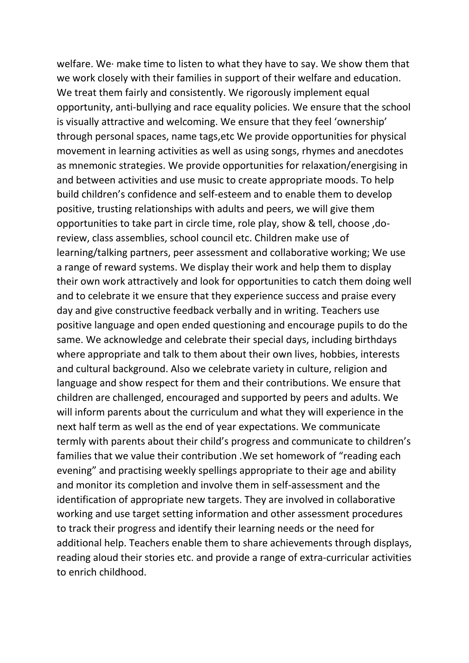welfare. We· make time to listen to what they have to say. We show them that we work closely with their families in support of their welfare and education. We treat them fairly and consistently. We rigorously implement equal opportunity, anti-bullying and race equality policies. We ensure that the school is visually attractive and welcoming. We ensure that they feel 'ownership' through personal spaces, name tags,etc We provide opportunities for physical movement in learning activities as well as using songs, rhymes and anecdotes as mnemonic strategies. We provide opportunities for relaxation/energising in and between activities and use music to create appropriate moods. To help build children's confidence and self-esteem and to enable them to develop positive, trusting relationships with adults and peers, we will give them opportunities to take part in circle time, role play, show & tell, choose ,doreview, class assemblies, school council etc. Children make use of learning/talking partners, peer assessment and collaborative working; We use a range of reward systems. We display their work and help them to display their own work attractively and look for opportunities to catch them doing well and to celebrate it we ensure that they experience success and praise every day and give constructive feedback verbally and in writing. Teachers use positive language and open ended questioning and encourage pupils to do the same. We acknowledge and celebrate their special days, including birthdays where appropriate and talk to them about their own lives, hobbies, interests and cultural background. Also we celebrate variety in culture, religion and language and show respect for them and their contributions. We ensure that children are challenged, encouraged and supported by peers and adults. We will inform parents about the curriculum and what they will experience in the next half term as well as the end of year expectations. We communicate termly with parents about their child's progress and communicate to children's families that we value their contribution .We set homework of "reading each evening" and practising weekly spellings appropriate to their age and ability and monitor its completion and involve them in self-assessment and the identification of appropriate new targets. They are involved in collaborative working and use target setting information and other assessment procedures to track their progress and identify their learning needs or the need for additional help. Teachers enable them to share achievements through displays, reading aloud their stories etc. and provide a range of extra-curricular activities to enrich childhood.